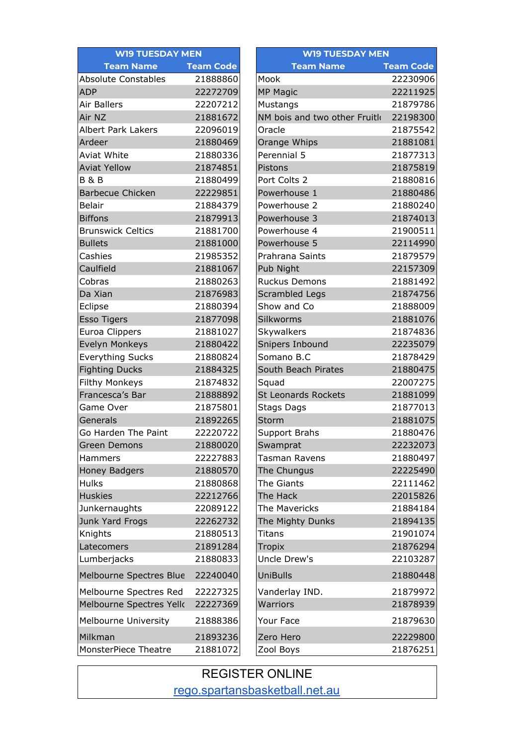| <b>WI9 TUESDAY MEN</b>      |                  | <b>WI9 TUESDAY MEN</b>       |                  |  |
|-----------------------------|------------------|------------------------------|------------------|--|
| <b>Team Name</b>            | <b>Team Code</b> | <b>Team Name</b>             | <b>Team Code</b> |  |
| <b>Absolute Constables</b>  | 21888860         | Mook                         | 22230906         |  |
| <b>ADP</b>                  | 22272709         | <b>MP Magic</b>              | 22211925         |  |
| Air Ballers                 | 22207212         | Mustangs                     | 21879786         |  |
| Air NZ                      | 21881672         | NM bois and two other Fruitk | 22198300         |  |
| <b>Albert Park Lakers</b>   | 22096019         | Oracle                       | 21875542         |  |
| Ardeer                      | 21880469         | Orange Whips                 | 21881081         |  |
| Aviat White                 | 21880336         | Perennial 5                  | 21877313         |  |
| <b>Aviat Yellow</b>         | 21874851         | Pistons                      | 21875819         |  |
| <b>B&amp;B</b>              | 21880499         | Port Colts 2                 | 21880816         |  |
| <b>Barbecue Chicken</b>     | 22229851         | Powerhouse 1                 | 21880486         |  |
| <b>Belair</b>               | 21884379         | Powerhouse 2                 | 21880240         |  |
| <b>Biffons</b>              | 21879913         | Powerhouse 3                 | 21874013         |  |
| <b>Brunswick Celtics</b>    | 21881700         | Powerhouse 4                 | 21900511         |  |
| <b>Bullets</b>              | 21881000         | Powerhouse 5                 | 22114990         |  |
| Cashies                     | 21985352         | Prahrana Saints              | 21879579         |  |
| Caulfield                   | 21881067         | Pub Night                    | 22157309         |  |
| Cobras                      | 21880263         | <b>Ruckus Demons</b>         | 21881492         |  |
| Da Xian                     | 21876983         | Scrambled Legs               | 21874756         |  |
| Eclipse                     | 21880394         | Show and Co                  | 21888009         |  |
| <b>Esso Tigers</b>          | 21877098         | Silkworms                    | 21881076         |  |
| Euroa Clippers              | 21881027         | Skywalkers                   | 21874836         |  |
| Evelyn Monkeys              | 21880422         | Snipers Inbound              | 22235079         |  |
| <b>Everything Sucks</b>     | 21880824         | Somano B.C                   | 21878429         |  |
| <b>Fighting Ducks</b>       | 21884325         | South Beach Pirates          | 21880475         |  |
| Filthy Monkeys              | 21874832         | Squad                        | 22007275         |  |
| Francesca's Bar             | 21888892         | <b>St Leonards Rockets</b>   | 21881099         |  |
| Game Over                   | 21875801         | Stags Dags                   | 21877013         |  |
| Generals                    | 21892265         | Storm                        | 21881075         |  |
| Go Harden The Paint         | 22220722         | Support Brahs                | 21880476         |  |
| <b>Green Demons</b>         | 21880020         | Swamprat                     | 22232073         |  |
| Hammers                     | 22227883         | <b>Tasman Ravens</b>         | 21880497         |  |
| <b>Honey Badgers</b>        | 21880570         | The Chungus                  | 22225490         |  |
| <b>Hulks</b>                | 21880868         | The Giants                   | 22111462         |  |
| <b>Huskies</b>              | 22212766         | The Hack                     | 22015826         |  |
| Junkernaughts               | 22089122         | The Mavericks                | 21884184         |  |
| Junk Yard Frogs             | 22262732         | The Mighty Dunks             | 21894135         |  |
| Knights                     | 21880513         | Titans                       | 21901074         |  |
| Latecomers                  | 21891284         | Tropix                       | 21876294         |  |
| Lumberjacks                 | 21880833         | Uncle Drew's                 | 22103287         |  |
| Melbourne Spectres Blue     | 22240040         | <b>UniBulls</b>              | 21880448         |  |
| Melbourne Spectres Red      | 22227325         | Vanderlay IND.               | 21879972         |  |
| Melbourne Spectres Yelk     | 22227369         | Warriors                     | 21878939         |  |
| <b>Melbourne University</b> | 21888386         | Your Face                    | 21879630         |  |
| Milkman                     | 21893236         | Zero Hero                    | 22229800         |  |
| MonsterPiece Theatre        | 21881072         | Zool Boys                    | 21876251         |  |

REGISTER ONLINE [rego.spartansbasketball.net.au](http://rego.spartansbasketball.net.au)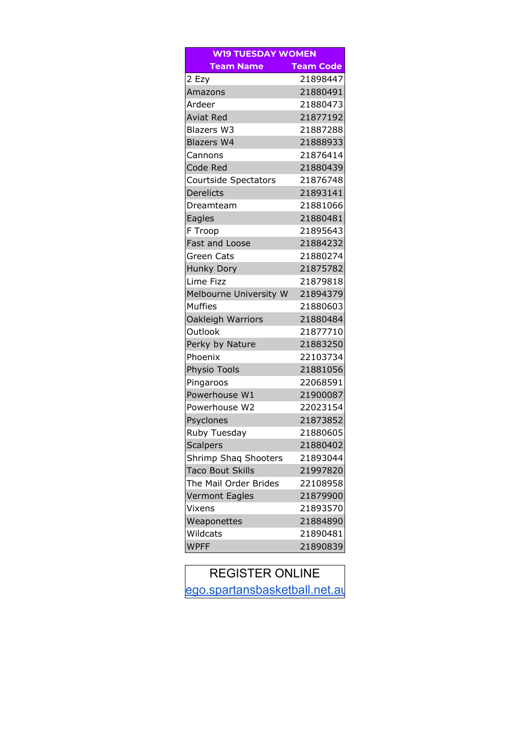| <b>WI9 TUESDAY WOMEN</b> |                  |  |  |  |  |
|--------------------------|------------------|--|--|--|--|
| <b>Team Name</b>         | <b>Team Code</b> |  |  |  |  |
| 2 Ezy                    | 21898447         |  |  |  |  |
| Amazons                  | 21880491         |  |  |  |  |
| Ardeer                   | 21880473         |  |  |  |  |
| <b>Aviat Red</b>         | 21877192         |  |  |  |  |
| <b>Blazers W3</b>        | 21887288         |  |  |  |  |
| <b>Blazers W4</b>        | 21888933         |  |  |  |  |
| Cannons                  | 21876414         |  |  |  |  |
| <b>Code Red</b>          | 21880439         |  |  |  |  |
| Courtside Spectators     | 21876748         |  |  |  |  |
| <b>Derelicts</b>         | 21893141         |  |  |  |  |
| Dreamteam                | 21881066         |  |  |  |  |
| Eagles                   | 21880481         |  |  |  |  |
| F Troop                  | 21895643         |  |  |  |  |
| <b>Fast and Loose</b>    | 21884232         |  |  |  |  |
| <b>Green Cats</b>        | 21880274         |  |  |  |  |
| <b>Hunky Dory</b>        | 21875782         |  |  |  |  |
| Lime Fizz                | 21879818         |  |  |  |  |
| Melbourne University W   | 21894379         |  |  |  |  |
| <b>Muffies</b>           | 21880603         |  |  |  |  |
| Oakleigh Warriors        | 21880484         |  |  |  |  |
| Outlook                  | 21877710         |  |  |  |  |
| Perky by Nature          | 21883250         |  |  |  |  |
| Phoenix                  | 22103734         |  |  |  |  |
| Physio Tools             | 21881056         |  |  |  |  |
| Pingaroos                | 22068591         |  |  |  |  |
| Powerhouse W1            | 21900087         |  |  |  |  |
| Powerhouse W2            | 22023154         |  |  |  |  |
| Psyclones                | 21873852         |  |  |  |  |
| Ruby Tuesday             | 21880605         |  |  |  |  |
| <b>Scalpers</b>          | 21880402         |  |  |  |  |
| Shrimp Shaq Shooters     | 21893044         |  |  |  |  |
| <b>Taco Bout Skills</b>  | 21997820         |  |  |  |  |
| The Mail Order Brides    | 22108958         |  |  |  |  |
| <b>Vermont Eagles</b>    | 21879900         |  |  |  |  |
| Vixens                   | 21893570         |  |  |  |  |
| Weaponettes              | 21884890         |  |  |  |  |
| Wildcats                 | 21890481         |  |  |  |  |
| <b>WPFF</b>              | 21890839         |  |  |  |  |

## REGISTER ONLINE ego.spartansbasketball.net.au